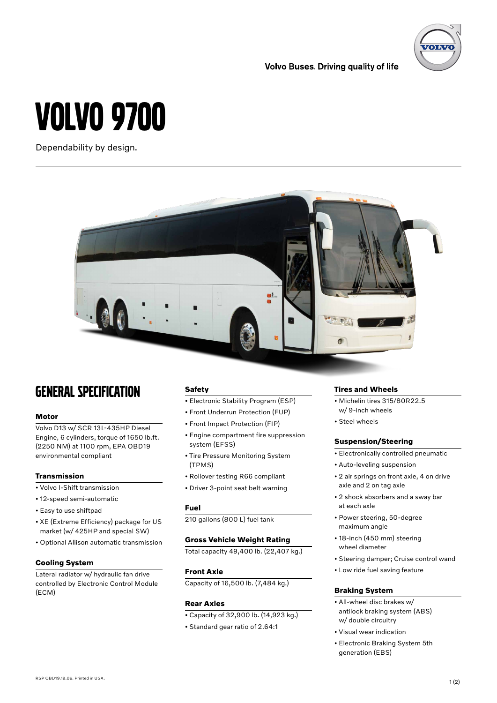**ZOLV** 

## VOLVO 9700

Dependability by design.



## GENERAL SPECIFICATION

#### **Motor**

Volvo D13 w/ SCR 13L-435HP Diesel Engine, 6 cylinders, torque of 1650 lb.ft. (2250 NM) at 1100 rpm, EPA OBD19 environmental compliant

#### **Transmission**

- Volvo I-Shift transmission
- 12-speed semi-automatic
- Easy to use shiftpad
- XE (Extreme Efficiency) package for US market (w/ 425HP and special SW)
- Optional Allison automatic transmission

#### **Cooling System**

Lateral radiator w/ hydraulic fan drive controlled by Electronic Control Module (ECM)

#### **Safety**

- Electronic Stability Program (ESP)
- Front Underrun Protection (FUP)
- Front Impact Protection (FIP)
- Engine compartment fire suppression system (EFSS)
- Tire Pressure Monitoring System (TPMS)
- Rollover testing R66 compliant
- Driver 3-point seat belt warning

#### **Fuel**

210 gallons (800 L) fuel tank

#### **Gross Vehicle Weight Rating**

Total capacity 49,400 lb. (22,407 kg.)

#### **Front Axle**

Capacity of 16,500 lb. (7,484 kg.)

#### **Rear Axles**

- Capacity of 32,900 lb. (14,923 kg.)
- Standard gear ratio of 2.64:1

#### **Tires and Wheels**

- Michelin tires 315/80R22.5 w/ 9-inch wheels
- Steel wheels

**Volvo Buses. Driving quality of life** 

#### **Suspension/Steering**

- Electronically controlled pneumatic
- Auto-leveling suspension
- 2 air springs on front axle, 4 on drive axle and 2 on tag axle
- 2 shock absorbers and a sway bar at each axle
- Power steering, 50-degree maximum angle
- 18-inch (450 mm) steering wheel diameter
- Steering damper; Cruise control wand
- Low ride fuel saving feature

#### **Braking System**

- All-wheel disc brakes w/ antilock braking system (ABS) w/ double circuitry
- Visual wear indication
- Electronic Braking System 5th generation (EBS)